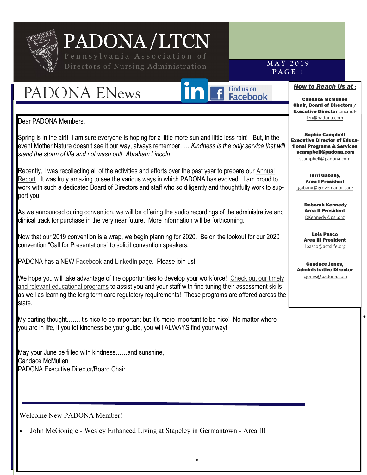

### Directors of Nursing Administration

### PADONA ENews



### **P A G E 1**

**M A Y 2 0 1 9**

#### *How to Reach Us at :*

Candace McMullen Chair, Board of Directors / **Executive Director [cmcmul](mailto:cmcmullen@padona.com)**[len@padona.com](mailto:cmcmullen@padona.com) 

Sophie Campbell Executive Director of Educational Programs & Services scampbell@padona.com [scampbell@padona.com](mailto:scampbell@padona.com)

Terri Gabany, Area I President [tgabany@grovemanor.care](mailto:tgabany@grovemanor.care)

> Deborah Kennedy Area II President [DKennedy@psl.org](mailto:DKennedy@psl.org?subject=Website%20Inquiry)

Lois Pasco Area III President [lpasco@actslife.org](mailto:lpasco@actslife.org)

Candace Jones, Administrative Director [cjones@padona.com](mailto:cjones@padona.com)

•

.

Dear PADONA Members,

,

Spring is in the air!! I am sure everyone is hoping for a little more sun and little less rain! But, in the event Mother Nature doesn't see it our way, always remember….. *Kindness is the only service that will stand the storm of life and not wash out! Abraham Lincoln*

Recently, I was recollecting all of the activities and efforts over the past year to prepare our Annual [Report.](https://padona.com/news/padona-2018-annual-report/) It was truly amazing to see the various ways in which PADONA has evolved. I am proud to work with such a dedicated Board of Directors and staff who so diligently and thoughtfully work to support you!

As we announced during convention, we will be offering the audio recordings of the administrative and clinical track for purchase in the very near future. More information will be forthcoming.

Now that our 2019 convention is a wrap, we begin planning for 2020. Be on the lookout for our 2020 convention "Call for Presentations" to solicit convention speakers.

PADONA has a NEW [Facebook](https://www.facebook.com/The-Pennsylvania-Association-of-Directors-of-Nursing-Administration-1223413184494780/) and [LinkedIn](https://www.linkedin.com/company/35703792/admin/) page. Please join us!

We hope you will take advantage of the opportunities to develop your workforce! Check out our timely [and relevant educational programs](https://padona.com/continuing-education/) to assist you and your staff with fine tuning their assessment skills as well as learning the long term care regulatory requirements! These programs are offered across the state.

My parting thought…….It's nice to be important but it's more important to be nice! No matter where you are in life, if you let kindness be your guide, you will ALWAYS find your way!

May your June be filled with kindness……and sunshine, Candace McMullen PADONA Executive Director/Board Chair

Welcome New PADONA Member!

• John McGonigle - Wesley Enhanced Living at Stapeley in Germantown - Area III

•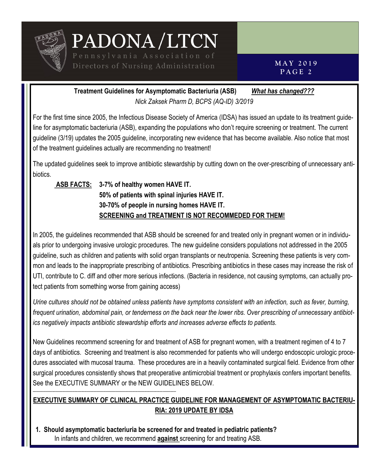

**M A Y 2 0 1 9 P A G E 2**

**Treatment Guidelines for Asymptomatic Bacteriuria (ASB)** *What has changed??? Nick Zaksek Pharm D, BCPS (AQ-ID) 3/2019*

For the first time since 2005, the Infectious Disease Society of America (IDSA) has issued an update to its treatment guideline for asymptomatic bacteriuria (ASB), expanding the populations who don't require screening or treatment. The current guideline (3/19) updates the 2005 guideline, incorporating new evidence that has become available. Also notice that most of the treatment guidelines actually are recommending no treatment!

The updated guidelines seek to improve antibiotic stewardship by cutting down on the over-prescribing of unnecessary antibiotics.

**ASB FACTS: 3-7% of healthy women HAVE IT. 50% of patients with spinal injuries HAVE IT. 30-70% of people in nursing homes HAVE IT. SCREENING and TREATMENT IS NOT RECOMMEDED FOR THEM!**

In 2005, the guidelines recommended that ASB should be screened for and treated only in pregnant women or in individuals prior to undergoing invasive urologic procedures. The new guideline considers populations not addressed in the 2005 guideline, such as children and patients with solid organ transplants or neutropenia. Screening these patients is very common and leads to the inappropriate prescribing of antibiotics. Prescribing antibiotics in these cases may increase the risk of UTI, contribute to C. diff and other more serious infections. (Bacteria in residence, not causing symptoms, can actually protect patients from something worse from gaining access)

*Urine cultures should not be obtained unless patients have symptoms consistent with an infection, such as fever, burning, frequent urination, abdominal pain, or tenderness on the back near the lower ribs. Over prescribing of unnecessary antibiotics negatively impacts antibiotic stewardship efforts and increases adverse effects to patients.*

New Guidelines recommend screening for and treatment of ASB for pregnant women, with a treatment regimen of 4 to 7 days of antibiotics. Screening and treatment is also recommended for patients who will undergo endoscopic urologic procedures associated with mucosal trauma. These procedures are in a heavily contaminated surgical field. Evidence from other surgical procedures consistently shows that preoperative antimicrobial treatment or prophylaxis confers important benefits. See the EXECUTIVE SUMMARY or the NEW GUIDELINES BELOW.

#### **EXECUTIVE SUMMARY OF CLINICAL PRACTICE GUIDELINE FOR MANAGEMENT OF ASYMPTOMATIC BACTERIU-RIA: 2019 UPDATE BY IDSA**

**1. Should asymptomatic bacteriuria be screened for and treated in pediatric patients?** In infants and children, we recommend **against** screening for and treating ASB.

------------------------------------------------------------------------------------------------------------------------------------------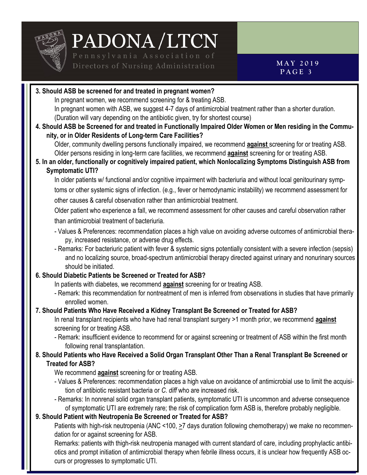

**3. Should ASB be screened for and treated in pregnant women?** In pregnant women, we recommend screening for & treating ASB. In pregnant women with ASB, we suggest 4-7 days of antimicrobial treatment rather than a shorter duration. (Duration will vary depending on the antibiotic given, try for shortest course) **4. Should ASB be Screened for and treated in Functionally Impaired Older Women or Men residing in the Community, or in Older Residents of Long-term Care Facilities?** Older, community dwelling persons functionally impaired, we recommend **against** screening for or treating ASB. Older persons residing in long-term care facilities, we recommend **against** screening for or treating ASB. **5. In an older, functionally or cognitively impaired patient, which Nonlocalizing Symptoms Distinguish ASB from Symptomatic UTI?** In older patients w/ functional and/or cognitive impairment with bacteriuria and without local genitourinary symptoms or other systemic signs of infection. (e.g., fever or hemodynamic instability) we recommend assessment for other causes & careful observation rather than antimicrobial treatment. Older patient who experience a fall, we recommend assessment for other causes and careful observation rather than antimicrobial treatment of bacteriuria. - Values & Preferences: recommendation places a high value on avoiding adverse outcomes of antimicrobial therapy, increased resistance, or adverse drug effects. - Remarks: For bacteriuric patient with fever & systemic signs potentially consistent with a severe infection (sepsis) and no localizing source, broad-spectrum antimicrobial therapy directed against urinary and nonurinary sources should be initiated. **6. Should Diabetic Patients be Screened or Treated for ASB?** In patients with diabetes, we recommend **against** screening for or treating ASB. - Remark: this recommendation for nontreatment of men is inferred from observations in studies that have primarily enrolled women. **7. Should Patients Who Have Received a Kidney Transplant Be Screened or Treated for ASB?** In renal transplant recipients who have had renal transplant surgery >1 month prior, we recommend **against** screening for or treating ASB. - Remark: insufficient evidence to recommend for or against screening or treatment of ASB within the first month following renal transplantation. **8. Should Patients who Have Received a Solid Organ Transplant Other Than a Renal Transplant Be Screened or Treated for ASB?** We recommend **against** screening for or treating ASB. - Values & Preferences: recommendation places a high value on avoidance of antimicrobial use to limit the acquisition of antibiotic resistant bacteria or *C. diff* who are increased risk. - Remarks: In nonrenal solid organ transplant patients, symptomatic UTI is uncommon and adverse consequence of symptomatic UTI are extremely rare; the risk of complication form ASB is, therefore probably negligible. **9. Should Patient with Neutropenia Be Screened or Treated for ASB?**  Patients with high-risk neutropenia (ANC <100, >7 days duration following chemotherapy) we make no recommendation for or against screening for ASB.

Remarks: patients with thigh-risk neutropenia managed with current standard of care, including prophylactic antibiotics and prompt initiation of antimicrobial therapy when febrile illness occurs, it is unclear how frequently ASB occurs or progresses to symptomatic UTI.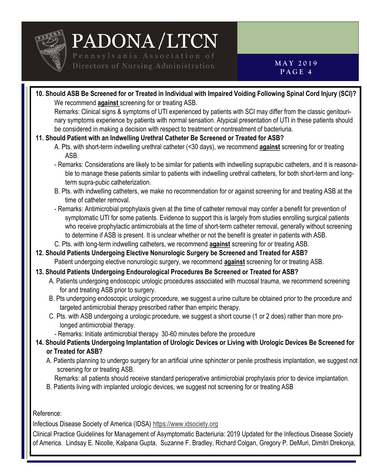

**10. Should ASB Be Screened for or Treated in Individual with Impaired Voiding Following Spinal Cord Injury (SCI)?** We recommend **against** screening for or treating ASB.

Remarks: Clinical signs & symptoms of UTI experienced by patients with SCI may differ from the classic genitourinary symptoms experience by patients with normal sensation. Atypical presentation of UTI in these patients should be considered in making a decision with respect to treatment or nontreatment of bacteriuria.

#### **11. Should Patient with an Indwelling Urethral Catheter Be Screened or Treated for ASB?**

- A. Pts. with short-term indwelling urethral catheter (<30 days), we recommend **against** screening for or treating ASB.
- Remarks: Considerations are likely to be similar for patients with indwelling suprapubic catheters, and it is reasonable to manage these patients similar to patients with indwelling urethral catheters, for both short-term and longterm supra-pubic catheterization.
- B. Pts. with indwelling catheters, we make no recommendation for or against screening for and treating ASB at the time of catheter removal.
- Remarks: Antimicrobial prophylaxis given at the time of catheter removal may confer a benefit for prevention of symptomatic UTI for some patients. Evidence to support this is largely from studies enrolling surgical patients who receive prophylactic antimicrobials at the time of short-term catheter removal, generally without screening to determine if ASB is present. It is unclear whether or not the benefit is greater in patients with ASB.
- C. Pts. with long-term indwelling catheters, we recommend **against** screening for or treating ASB.
- **12. Should Patients Undergoing Elective Nonurologic Surgery be Screened and Treated for ASB?** Patient undergoing elective nonurologic surgery, we recommend **against** screening for or treating ASB.

#### **13. Should Patients Undergoing Endourological Procedures Be Screened or Treated for ASB?**

- A. Patients undergoing endoscopic urologic procedures associated with mucosal trauma, we recommend screening for and treating ASB prior to surgery.
- B. Pts undergoing endoscopic urologic procedure, we suggest a urine culture be obtained prior to the procedure and targeted antimicrobial therapy prescribed rather than empiric therapy.
- C. Pts. with ASB undergoing a urologic procedure, we suggest a short course (1 or 2 does) rather than more prolonged antimicrobial therapy.
	- Remarks: Initiate antimicrobial therapy 30-60 minutes before the procedure
- **14. Should Patients Undergoing Implantation of Urologic Devices or Living with Urologic Devices Be Screened for or Treated for ASB?**
	- A. Patients planning to undergo surgery for an artificial urine sphincter or penile prosthesis implantation, we suggest not screening for or treating ASB.

Remarks: all patients should receive standard perioperative antimicrobial prophylaxis prior to device implantation.

B. Patients living with implanted urologic devices, we suggest not screening for or treating ASB

Reference:

Infectious Disease Society of America (IDSA) [https://www.idsociety.org](https://www.idsociety.org/)

Clinical Practice Guidelines for Management of Asymptomatic Bacteriuria: 2019 Updated for the Infectious Disease Society of America. Lindsay E. Nicolle, Kalpana Gupta, Suzanne F. Bradley, Richard Colgan, Gregory P. DeMuri, Dimitri Drekonja,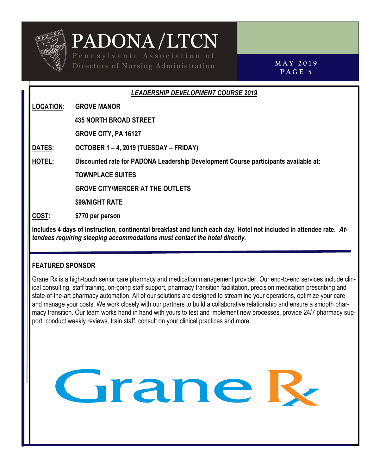

**M A Y 2 0 1 9 P A G E 5**

#### *LEADERSHIP DEVELOPMENT COURSE 2019*

**LOCATION: GROVE MANOR**

**435 NORTH BROAD STREET**

 **GROVE CITY, PA 16127**

**DATES: OCTOBER 1 – 4, 2019 (TUESDAY – FRIDAY)**

**HOTEL: Discounted rate for PADONA Leadership Development Course participants available at:** 

**TOWNPLACE SUITES**

 **GROVE CITY/MERCER AT THE OUTLETS**

 **\$99/NIGHT RATE**

**COST: \$770 per person** 

**Includes 4 days of instruction, continental breakfast and lunch each day. Hotel not included in attendee rate.** *Attendees requiring sleeping accommodations must contact the hotel directly.*

#### **FEATURED SPONSOR**

Grane Rx is a high-touch senior care pharmacy and medication management provider. Our end-to-end services include clinical consulting, staff training, on-going staff support, pharmacy transition facilitation, precision medication prescribing and state-of-the-art pharmacy automation. All of our solutions are designed to streamline your operations, optimize your care and manage your costs. We work closely with our partners to build a collaborative relationship and ensure a smooth pharmacy transition. Our team works hand in hand with yours to test and implement new processes, provide 24/7 pharmacy support, conduct weekly reviews, train staff, consult on your clinical practices and more.

Grane R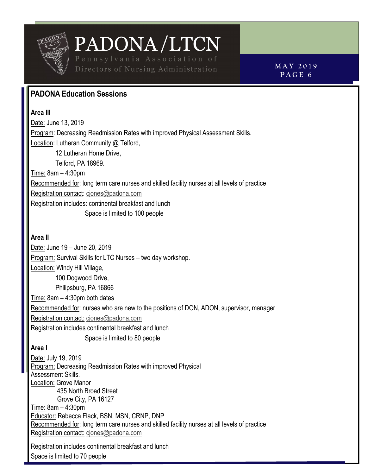

Directors of Nursing Administration **MAY 2019** 

**P A G E 6**

### **PADONA Education Sessions**

**Area III** Date: June 13, 2019 Program: Decreasing Readmission Rates with improved Physical Assessment Skills. Location: Lutheran Community @ Telford, 12 Lutheran Home Drive, Telford, PA 18969. Time: 8am – 4:30pm Recommended for: long term care nurses and skilled facility nurses at all levels of practice Registration contact: [cjones@padona.com](mailto:cjones@padona.com) Registration includes: continental breakfast and lunch Space is limited to 100 people

#### **Area II**

Date: June 19 – June 20, 2019 Program: Survival Skills for LTC Nurses – two day workshop. Location: Windy Hill Village, 100 Dogwood Drive, Philipsburg, PA 16866 Time: 8am – 4:30pm both dates Recommended for: nurses who are new to the positions of DON, ADON, supervisor, manager Registration contact: [cjones@padona.com](mailto:cjones@padona.com) Registration includes continental breakfast and lunch Space is limited to 80 people **Area I** Date: July 19, 2019 Program: Decreasing Readmission Rates with improved Physical Assessment Skills. Location: Grove Manor 435 North Broad Street Grove City, PA 16127 Time: 8am – 4:30pm Educator: Rebecca Flack, BSN, MSN, CRNP, DNP

Recommended for: long term care nurses and skilled facility nurses at all levels of practice Registration contact: [cjones@padona.com](mailto:cjones@padona.com)

Registration includes continental breakfast and lunch Space is limited to 70 people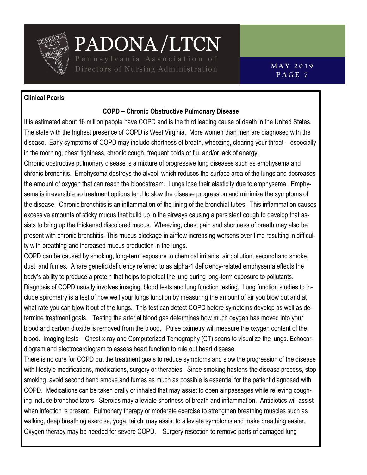

PADONA/LTCN Directors of Nursing Administration

#### **Clinical Pearls**

#### **COPD – Chronic Obstructive Pulmonary Disease**

It is estimated about 16 million people have COPD and is the third leading cause of death in the United States. The state with the highest presence of COPD is West Virginia. More women than men are diagnosed with the disease. Early symptoms of COPD may include shortness of breath, wheezing, clearing your throat – especially in the morning, chest tightness, chronic cough, frequent colds or flu, and/or lack of energy.

Chronic obstructive pulmonary disease is a mixture of progressive lung diseases such as emphysema and chronic bronchitis. Emphysema destroys the alveoli which reduces the surface area of the lungs and decreases the amount of oxygen that can reach the bloodstream. Lungs lose their elasticity due to emphysema. Emphysema is irreversible so treatment options tend to slow the disease progression and minimize the symptoms of the disease. Chronic bronchitis is an inflammation of the lining of the bronchial tubes. This inflammation causes excessive amounts of sticky mucus that build up in the airways causing a persistent cough to develop that assists to bring up the thickened discolored mucus. Wheezing, chest pain and shortness of breath may also be present with chronic bronchitis. This mucus blockage in airflow increasing worsens over time resulting in difficulty with breathing and increased mucus production in the lungs.

COPD can be caused by smoking, long-term exposure to chemical irritants, air pollution, secondhand smoke, dust, and fumes. A rare genetic deficiency referred to as alpha-1 deficiency-related emphysema effects the body's ability to produce a protein that helps to protect the lung during long-term exposure to pollutants. Diagnosis of COPD usually involves imaging, blood tests and lung function testing. Lung function studies to include spirometry is a test of how well your lungs function by measuring the amount of air you blow out and at what rate you can blow it out of the lungs. This test can detect COPD before symptoms develop as well as determine treatment goals. Testing the arterial blood gas determines how much oxygen has moved into your blood and carbon dioxide is removed from the blood. Pulse oximetry will measure the oxygen content of the blood. Imaging tests – Chest x-ray and Computerized Tomography (CT) scans to visualize the lungs. Echocardiogram and electrocardiogram to assess heart function to rule out heart disease.

There is no cure for COPD but the treatment goals to reduce symptoms and slow the progression of the disease with lifestyle modifications, medications, surgery or therapies. Since smoking hastens the disease process, stop smoking, avoid second hand smoke and fumes as much as possible is essential for the patient diagnosed with COPD. Medications can be taken orally or inhaled that may assist to open air passages while relieving coughing include bronchodilators. Steroids may alleviate shortness of breath and inflammation. Antibiotics will assist when infection is present. Pulmonary therapy or moderate exercise to strengthen breathing muscles such as walking, deep breathing exercise, yoga, tai chi may assist to alleviate symptoms and make breathing easier. Oxygen therapy may be needed for severe COPD. Surgery resection to remove parts of damaged lung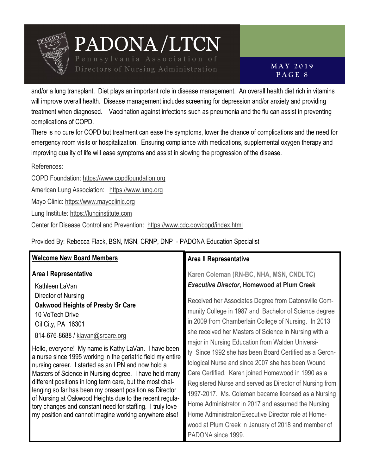

Directors of Nursing Administration

and/or a lung transplant. Diet plays an important role in disease management. An overall health diet rich in vitamins will improve overall health. Disease management includes screening for depression and/or anxiety and providing treatment when diagnosed. Vaccination against infections such as pneumonia and the flu can assist in preventing complications of COPD.

There is no cure for COPD but treatment can ease the symptoms, lower the chance of complications and the need for emergency room visits or hospitalization. Ensuring compliance with medications, supplemental oxygen therapy and improving quality of life will ease symptoms and assist in slowing the progression of the disease.

References:

COPD Foundation:<https://www.copdfoundation.org>

American Lung Association: <https://www.lung.org>

Mayo Clinic: <https://www.mayoclinic.org>

Lung Institute: <https://lunginstitute.com>

Center for Disease Control and Prevention: <https://www.cdc.gov/copd/index.html>

Provided By: Rebecca Flack, BSN, MSN, CRNP, DNP - PADONA Education Specialist

| <b>Welcome New Board Members</b>                            | <b>Area II Representative</b>                           |
|-------------------------------------------------------------|---------------------------------------------------------|
| <b>Area I Representative</b>                                | Karen Coleman (RN-BC, NHA, MSN, CNDLTC)                 |
| Kathleen LaVan                                              | <b>Executive Director, Homewood at Plum Creek</b>       |
| Director of Nursing                                         | Received her Associates Degree from Catonsville Com-    |
| <b>Oakwood Heights of Presby Sr Care</b>                    | munity College in 1987 and Bachelor of Science degree   |
| 10 VoTech Drive                                             | in 2009 from Chamberlain College of Nursing. In 2013    |
| Oil City, PA 16301                                          | she received her Masters of Science in Nursing with a   |
| 814-676-8688 / klavan@srcare.org                            | major in Nursing Education from Walden Universi-        |
| Hello, everyone! My name is Kathy LaVan. I have been        | ty Since 1992 she has been Board Certified as a Geron-  |
| a nurse since 1995 working in the geriatric field my entire | tological Nurse and since 2007 she has been Wound       |
| nursing career. I started as an LPN and now hold a          | Care Certified. Karen joined Homewood in 1990 as a      |
| Masters of Science in Nursing degree. I have held many      | Registered Nurse and served as Director of Nursing from |
| different positions in long term care, but the most chal-   | 1997-2017. Ms. Coleman became licensed as a Nursing     |
| lenging so far has been my present position as Director     | Home Administrator in 2017 and assumed the Nursing      |
| of Nursing at Oakwood Heights due to the recent regula-     | Home Administrator/Executive Director role at Home-     |
| tory changes and constant need for staffing. I truly love   | wood at Plum Creek in January of 2018 and member of     |
| my position and cannot imagine working anywhere else!       | PADONA since 1999.                                      |